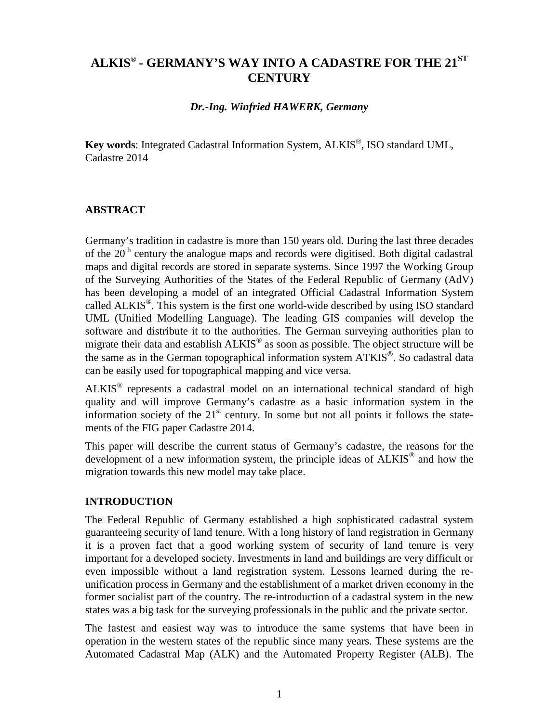# **ALKIS® - GERMANY'S WAY INTO A CADASTRE FOR THE 21ST CENTURY**

#### *Dr.-Ing. Winfried HAWERK, Germany*

**Key words**: Integrated Cadastral Information System, ALKIS®, ISO standard UML, Cadastre 2014

#### **ABSTRACT**

Germany's tradition in cadastre is more than 150 years old. During the last three decades of the  $20<sup>th</sup>$  century the analogue maps and records were digitised. Both digital cadastral maps and digital records are stored in separate systems. Since 1997 the Working Group of the Surveying Authorities of the States of the Federal Republic of Germany (AdV) has been developing a model of an integrated Official Cadastral Information System called ALKIS®. This system is the first one world-wide described by using ISO standard UML (Unified Modelling Language). The leading GIS companies will develop the software and distribute it to the authorities. The German surveying authorities plan to migrate their data and establish ALKIS® as soon as possible. The object structure will be the same as in the German topographical information system  $ATKIS^{\circledcirc}$ . So cadastral data can be easily used for topographical mapping and vice versa.

ALKIS® represents a cadastral model on an international technical standard of high quality and will improve Germany's cadastre as a basic information system in the information society of the  $21<sup>st</sup>$  century. In some but not all points it follows the statements of the FIG paper Cadastre 2014.

This paper will describe the current status of Germany's cadastre, the reasons for the development of a new information system, the principle ideas of ALKIS® and how the migration towards this new model may take place.

#### **INTRODUCTION**

The Federal Republic of Germany established a high sophisticated cadastral system guaranteeing security of land tenure. With a long history of land registration in Germany it is a proven fact that a good working system of security of land tenure is very important for a developed society. Investments in land and buildings are very difficult or even impossible without a land registration system. Lessons learned during the reunification process in Germany and the establishment of a market driven economy in the former socialist part of the country. The re-introduction of a cadastral system in the new states was a big task for the surveying professionals in the public and the private sector.

The fastest and easiest way was to introduce the same systems that have been in operation in the western states of the republic since many years. These systems are the Automated Cadastral Map (ALK) and the Automated Property Register (ALB). The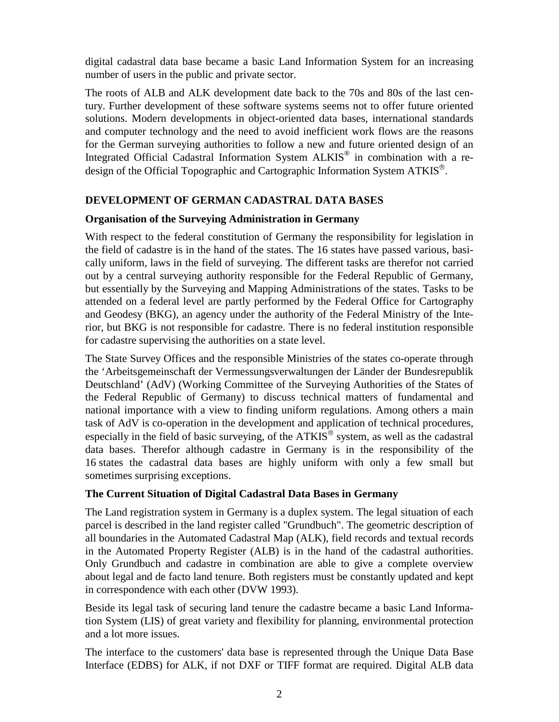digital cadastral data base became a basic Land Information System for an increasing number of users in the public and private sector.

The roots of ALB and ALK development date back to the 70s and 80s of the last century. Further development of these software systems seems not to offer future oriented solutions. Modern developments in object-oriented data bases, international standards and computer technology and the need to avoid inefficient work flows are the reasons for the German surveying authorities to follow a new and future oriented design of an Integrated Official Cadastral Information System ALKIS® in combination with a redesign of the Official Topographic and Cartographic Information System ATKIS<sup>®</sup>.

#### **DEVELOPMENT OF GERMAN CADASTRAL DATA BASES**

#### **Organisation of the Surveying Administration in Germany**

With respect to the federal constitution of Germany the responsibility for legislation in the field of cadastre is in the hand of the states. The 16 states have passed various, basically uniform, laws in the field of surveying. The different tasks are therefor not carried out by a central surveying authority responsible for the Federal Republic of Germany, but essentially by the Surveying and Mapping Administrations of the states. Tasks to be attended on a federal level are partly performed by the Federal Office for Cartography and Geodesy (BKG), an agency under the authority of the Federal Ministry of the Interior, but BKG is not responsible for cadastre. There is no federal institution responsible for cadastre supervising the authorities on a state level.

The State Survey Offices and the responsible Ministries of the states co-operate through the 'Arbeitsgemeinschaft der Vermessungsverwaltungen der Länder der Bundesrepublik Deutschland' (AdV) (Working Committee of the Surveying Authorities of the States of the Federal Republic of Germany) to discuss technical matters of fundamental and national importance with a view to finding uniform regulations. Among others a main task of AdV is co-operation in the development and application of technical procedures, especially in the field of basic surveying, of the  $ATKIS^{\circledcirc}$  system, as well as the cadastral data bases. Therefor although cadastre in Germany is in the responsibility of the 16 states the cadastral data bases are highly uniform with only a few small but sometimes surprising exceptions.

#### **The Current Situation of Digital Cadastral Data Bases in Germany**

The Land registration system in Germany is a duplex system. The legal situation of each parcel is described in the land register called "Grundbuch". The geometric description of all boundaries in the Automated Cadastral Map (ALK), field records and textual records in the Automated Property Register (ALB) is in the hand of the cadastral authorities. Only Grundbuch and cadastre in combination are able to give a complete overview about legal and de facto land tenure. Both registers must be constantly updated and kept in correspondence with each other (DVW 1993).

Beside its legal task of securing land tenure the cadastre became a basic Land Information System (LIS) of great variety and flexibility for planning, environmental protection and a lot more issues.

The interface to the customers' data base is represented through the Unique Data Base Interface (EDBS) for ALK, if not DXF or TIFF format are required. Digital ALB data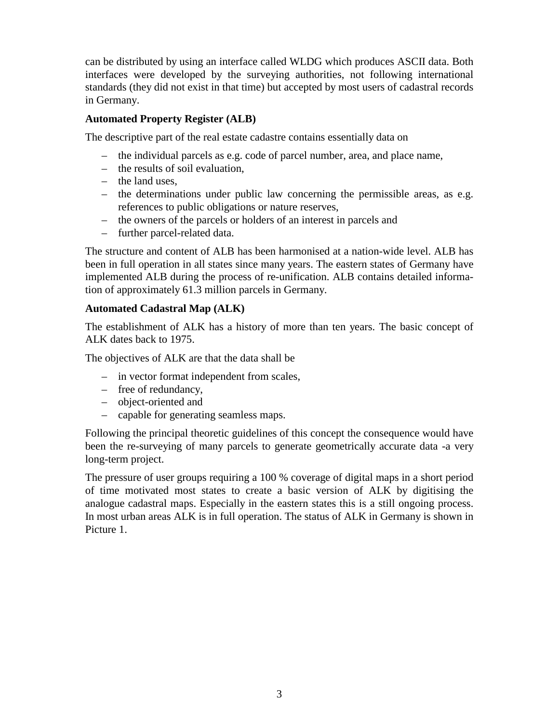can be distributed by using an interface called WLDG which produces ASCII data. Both interfaces were developed by the surveying authorities, not following international standards (they did not exist in that time) but accepted by most users of cadastral records in Germany.

#### **Automated Property Register (ALB)**

The descriptive part of the real estate cadastre contains essentially data on

- the individual parcels as e.g. code of parcel number, area, and place name,
- the results of soil evaluation,
- the land uses,
- the determinations under public law concerning the permissible areas, as e.g. references to public obligations or nature reserves,
- the owners of the parcels or holders of an interest in parcels and
- further parcel-related data.

The structure and content of ALB has been harmonised at a nation-wide level. ALB has been in full operation in all states since many years. The eastern states of Germany have implemented ALB during the process of re-unification. ALB contains detailed information of approximately 61.3 million parcels in Germany.

#### **Automated Cadastral Map (ALK)**

The establishment of ALK has a history of more than ten years. The basic concept of ALK dates back to 1975.

The objectives of ALK are that the data shall be

- in vector format independent from scales,
- free of redundancy,
- object-oriented and
- capable for generating seamless maps.

Following the principal theoretic guidelines of this concept the consequence would have been the re-surveying of many parcels to generate geometrically accurate data -a very long-term project.

The pressure of user groups requiring a 100 % coverage of digital maps in a short period of time motivated most states to create a basic version of ALK by digitising the analogue cadastral maps. Especially in the eastern states this is a still ongoing process. In most urban areas ALK is in full operation. The status of ALK in Germany is shown in Picture 1.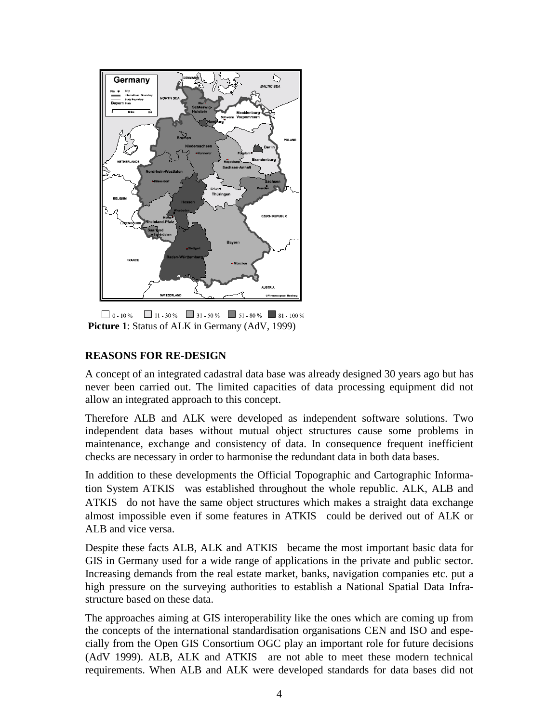

 $\Box$  0 - 10 %  $\Box$  11 - 30 %  $\Box$  31 - 50 %  $\Box$  51 - 80 %  $\Box$  81 - 100 % **Picture 1**: Status of ALK in Germany (AdV, 1999)

### **REASONS FOR RE-DESIGN**

A concept of an integrated cadastral data base was already designed 30 years ago but has never been carried out. The limited capacities of data processing equipment did not allow an integrated approach to this concept.

Therefore ALB and ALK were developed as independent software solutions. Two independent data bases without mutual object structures cause some problems in maintenance, exchange and consistency of data. In consequence frequent inefficient checks are necessary in order to harmonise the redundant data in both data bases.

In addition to these developments the Official Topographic and Cartographic Information System ATKIS<sup>®</sup> was established throughout the whole republic. ALK, ALB and  $ATKIS^{\circledR}$  do not have the same object structures which makes a straight data exchange almost impossible even if some features in  $ATKIS^{\circledR}$  could be derived out of ALK or ALB and vice versa.

Despite these facts ALB, ALK and  $ATKIS^{\circledcirc}$  became the most important basic data for GIS in Germany used for a wide range of applications in the private and public sector. Increasing demands from the real estate market, banks, navigation companies etc. put a high pressure on the surveying authorities to establish a National Spatial Data Infrastructure based on these data.

The approaches aiming at GIS interoperability like the ones which are coming up from the concepts of the international standardisation organisations CEN and ISO and especially from the Open GIS Consortium OGC play an important role for future decisions (AdV 1999). ALB, ALK and  $ATKIS^{\circledR}$  are not able to meet these modern technical requirements. When ALB and ALK were developed standards for data bases did not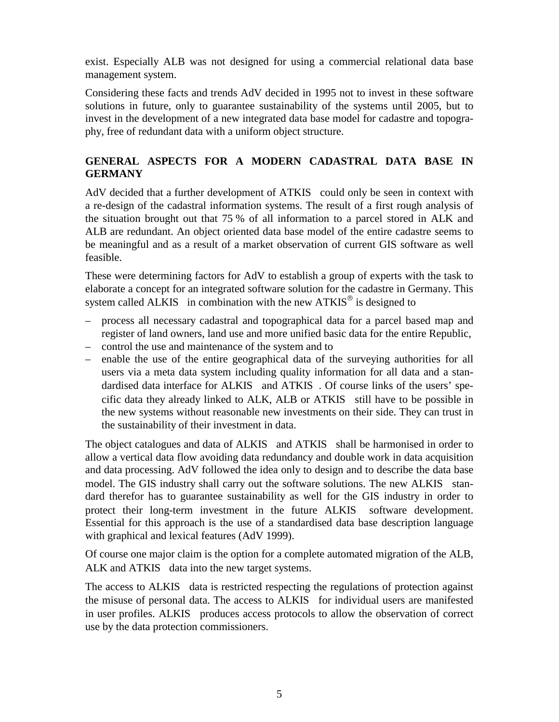exist. Especially ALB was not designed for using a commercial relational data base management system.

Considering these facts and trends AdV decided in 1995 not to invest in these software solutions in future, only to guarantee sustainability of the systems until 2005, but to invest in the development of a new integrated data base model for cadastre and topography, free of redundant data with a uniform object structure.

### **GENERAL ASPECTS FOR A MODERN CADASTRAL DATA BASE IN GERMANY**

AdV decided that a further development of  $ATKIS^{\circledast}$  could only be seen in context with a re-design of the cadastral information systems. The result of a first rough analysis of the situation brought out that 75 % of all information to a parcel stored in ALK and ALB are redundant. An object oriented data base model of the entire cadastre seems to be meaningful and as a result of a market observation of current GIS software as well feasible.

These were determining factors for AdV to establish a group of experts with the task to elaborate a concept for an integrated software solution for the cadastre in Germany. This system called  $ALKIS^{\circledast}$  in combination with the new  $ATKIS^{\circledast}$  is designed to

- process all necessary cadastral and topographical data for a parcel based map and register of land owners, land use and more unified basic data for the entire Republic,
- control the use and maintenance of the system and to
- enable the use of the entire geographical data of the surveying authorities for all users via a meta data system including quality information for all data and a standardised data interface for  $ALKIS^{\circledast}$  and  $ATKIS^{\circledast}$ . Of course links of the users' specific data they already linked to  $ALK$ ,  $ALB$  or  $ATKIS^{\circledcirc}$  still have to be possible in the new systems without reasonable new investments on their side. They can trust in the sustainability of their investment in data.

The object catalogues and data of  $ALKIS^{\circledast}$  and  $ATKIS^{\circledast}$  shall be harmonised in order to allow a vertical data flow avoiding data redundancy and double work in data acquisition and data processing. AdV followed the idea only to design and to describe the data base model. The GIS industry shall carry out the software solutions. The new  $ALKIS^{\circledR}$  standard therefor has to guarantee sustainability as well for the GIS industry in order to protect their long-term investment in the future  $ALKIS^{\circledast}$  software development. Essential for this approach is the use of a standardised data base description language with graphical and lexical features (AdV 1999).

Of course one major claim is the option for a complete automated migration of the ALB, ALK and  $ATKIS^{\circledast}$  data into the new target systems.

The access to  $ALKIS^{\circledast}$  data is restricted respecting the regulations of protection against the misuse of personal data. The access to  $\widehat{ALKIS}^{\circledR}$  for individual users are manifested in user profiles.  $ALKIS^{\circledR}$  produces access protocols to allow the observation of correct use by the data protection commissioners.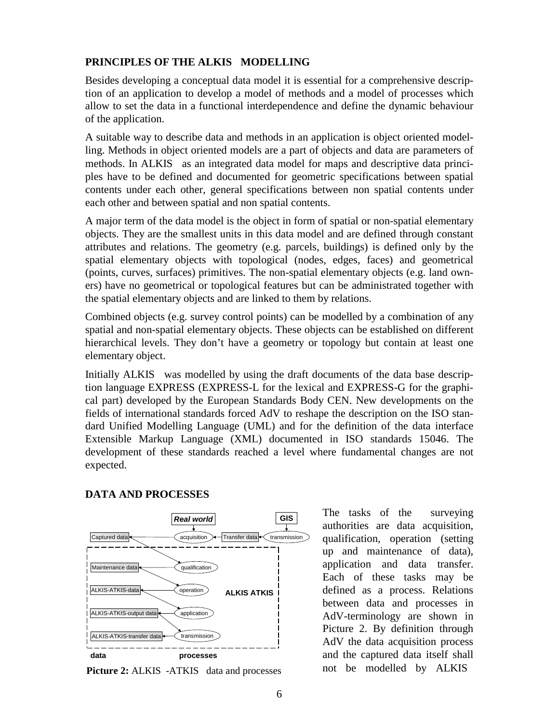# **PRINCIPLES OF THE ALKIS<sup>®</sup> MODELLING**

Besides developing a conceptual data model it is essential for a comprehensive description of an application to develop a model of methods and a model of processes which allow to set the data in a functional interdependence and define the dynamic behaviour of the application.

A suitable way to describe data and methods in an application is object oriented modelling. Methods in object oriented models are a part of objects and data are parameters of methods. In  $ALKIS^{\circledast}$  as an integrated data model for maps and descriptive data principles have to be defined and documented for geometric specifications between spatial contents under each other, general specifications between non spatial contents under each other and between spatial and non spatial contents.

A major term of the data model is the object in form of spatial or non-spatial elementary objects. They are the smallest units in this data model and are defined through constant attributes and relations. The geometry (e.g. parcels, buildings) is defined only by the spatial elementary objects with topological (nodes, edges, faces) and geometrical (points, curves, surfaces) primitives. The non-spatial elementary objects (e.g. land owners) have no geometrical or topological features but can be administrated together with the spatial elementary objects and are linked to them by relations.

Combined objects (e.g. survey control points) can be modelled by a combination of any spatial and non-spatial elementary objects. These objects can be established on different hierarchical levels. They don't have a geometry or topology but contain at least one elementary object.

Initially  $ALKIS^{\circledast}$  was modelled by using the draft documents of the data base description language EXPRESS (EXPRESS-L for the lexical and EXPRESS-G for the graphical part) developed by the European Standards Body CEN. New developments on the fields of international standards forced AdV to reshape the description on the ISO standard Unified Modelling Language (UML) and for the definition of the data interface Extensible Markup Language (XML) documented in ISO standards 15046. The development of these standards reached a level where fundamental changes are not expected.



# **DATA AND PROCESSES**

Picture 2: ALKIS<sup>®</sup>-ATKIS<sup>®</sup> data and processes

The tasks of the surveying authorities are data acquisition, qualification, operation (setting up and maintenance of data), application and data transfer. Each of these tasks may be defined as a process. Relations between data and processes in AdV-terminology are shown in Picture 2. By definition through AdV the data acquisition process and the captured data itself shall not be modelled by ALKIS<sup>®</sup>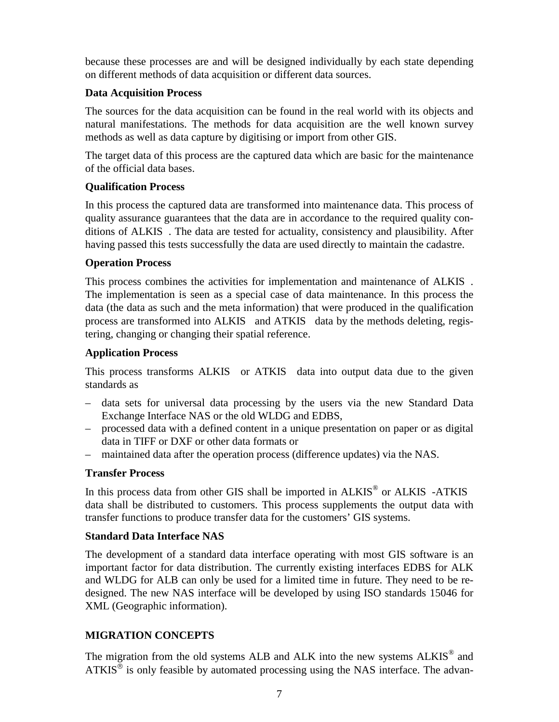because these processes are and will be designed individually by each state depending on different methods of data acquisition or different data sources.

#### **Data Acquisition Process**

The sources for the data acquisition can be found in the real world with its objects and natural manifestations. The methods for data acquisition are the well known survey methods as well as data capture by digitising or import from other GIS.

The target data of this process are the captured data which are basic for the maintenance of the official data bases.

# **Qualification Process**

In this process the captured data are transformed into maintenance data. This process of quality assurance guarantees that the data are in accordance to the required quality conditions of ALKIS<sup>®</sup>. The data are tested for actuality, consistency and plausibility. After having passed this tests successfully the data are used directly to maintain the cadastre.

### **Operation Process**

This process combines the activities for implementation and maintenance of ALKIS<sup>®</sup>. The implementation is seen as a special case of data maintenance. In this process the data (the data as such and the meta information) that were produced in the qualification process are transformed into  $ALKIS^{\circledR}$  and  $ATKIS^{\circledR}$  data by the methods deleting, registering, changing or changing their spatial reference.

### **Application Process**

This process transforms  $ALKIS^{\circledast}$  or  $ATKIS^{\circledast}$  data into output data due to the given standards as

- data sets for universal data processing by the users via the new Standard Data Exchange Interface NAS or the old WLDG and EDBS,
- processed data with a defined content in a unique presentation on paper or as digital data in TIFF or DXF or other data formats or
- maintained data after the operation process (difference updates) via the NAS.

# **Transfer Process**

In this process data from other GIS shall be imported in  $ALKIS^{\circledast}$  or  $ALKIS^{\circledast}$ -ATKIS<sup>®</sup> data shall be distributed to customers. This process supplements the output data with transfer functions to produce transfer data for the customers' GIS systems.

# **Standard Data Interface NAS**

The development of a standard data interface operating with most GIS software is an important factor for data distribution. The currently existing interfaces EDBS for ALK and WLDG for ALB can only be used for a limited time in future. They need to be redesigned. The new NAS interface will be developed by using ISO standards 15046 for XML (Geographic information).

# **MIGRATION CONCEPTS**

The migration from the old systems ALB and ALK into the new systems ALKIS<sup>®</sup> and  $ATKIS^{\circledR}$  is only feasible by automated processing using the NAS interface. The advan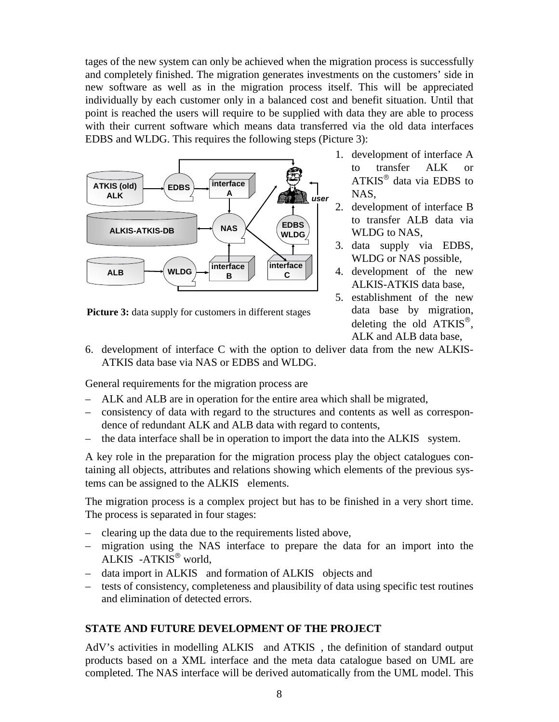tages of the new system can only be achieved when the migration process is successfully and completely finished. The migration generates investments on the customers' side in new software as well as in the migration process itself. This will be appreciated individually by each customer only in a balanced cost and benefit situation. Until that point is reached the users will require to be supplied with data they are able to process with their current software which means data transferred via the old data interfaces EDBS and WLDG. This requires the following steps (Picture 3):



**Picture 3:** data supply for customers in different stages

- 1. development of interface A to transfer ALK or  $ATKIS^{\circledR}$  data via EDBS to NAS,
- 2. development of interface B to transfer ALB data via WLDG to NAS,
- 3. data supply via EDBS, WLDG or NAS possible,
- 4. development of the new ALKIS-ATKIS data base,
- 5. establishment of the new data base by migration, deleting the old  $ATKIS^{\circledcirc}$ , ALK and ALB data base,
- 6. development of interface C with the option to deliver data from the new ALKIS-ATKIS data base via NAS or EDBS and WLDG.

General requirements for the migration process are

- ALK and ALB are in operation for the entire area which shall be migrated,
- consistency of data with regard to the structures and contents as well as correspondence of redundant ALK and ALB data with regard to contents,
- the data interface shall be in operation to import the data into the  $ALKIS<sup>®</sup>$  system.

A key role in the preparation for the migration process play the object catalogues containing all objects, attributes and relations showing which elements of the previous systems can be assigned to the  $ALKIS^{\circledR}$  elements.

The migration process is a complex project but has to be finished in a very short time. The process is separated in four stages:

- clearing up the data due to the requirements listed above,
- migration using the NAS interface to prepare the data for an import into the ALKIS®-ATKIS<sup>®</sup> world,
- data import in  $ALKIS^{\circledast}$  and formation of  $ALKIS^{\circledast}$  objects and
- tests of consistency, completeness and plausibility of data using specific test routines and elimination of detected errors.

#### **STATE AND FUTURE DEVELOPMENT OF THE PROJECT**

AdV's activities in modelling  $ALKIS^{\circledR}$  and  $ATKIS^{\circledR}$ , the definition of standard output products based on a XML interface and the meta data catalogue based on UML are completed. The NAS interface will be derived automatically from the UML model. This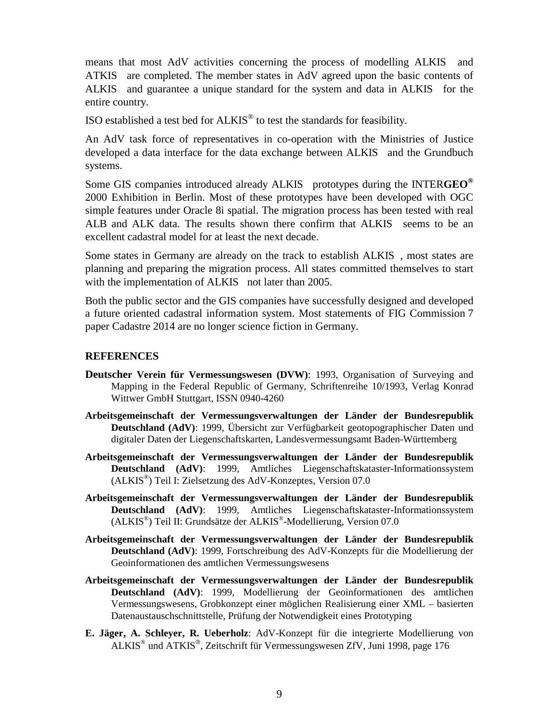means that most AdV activities concerning the process of modelling ALKIS<sup>®</sup> and  $ATKIS^{\circledR}$  are completed. The member states in AdV agreed upon the basic contents of  $ALKIS<sup>®</sup>$  and guarantee a unique standard for the system and data in  $ALKIS<sup>®</sup>$  for the entire country.

ISO established a test bed for ALKIS® to test the standards for feasibility.

An AdV task force of representatives in co-operation with the Ministries of Justice developed a data interface for the data exchange between ALKIS<sup>®</sup> and the Grundbuch systems.

Some GIS companies introduced already ALKIS<sup>®</sup> prototypes during the INTERGEO<sup>®</sup> 2000 Exhibition in Berlin. Most of these prototypes have been developed with OGC simple features under Oracle 8i spatial. The migration process has been tested with real ALB and ALK data. The results shown there confirm that  $ALKIS<sup>®</sup>$  seems to be an excellent cadastral model for at least the next decade.

Some states in Germany are already on the track to establish  $ALKIS^*$ , most states are planning and preparing the migration process. All states committed themselves to start with the implementation of  $ALKIS^{\circledast}$  not later than 2005.

Both the public sector and the GIS companies have successfully designed and developed a future oriented cadastral information system. Most statements of FIG Commission 7 paper Cadastre 2014 are no longer science fiction in Germany.

#### **REFERENCES**

- **Deutscher Verein für Vermessungswesen (DVW)**: 1993, Organisation of Surveying and Mapping in the Federal Republic of Germany, Schriftenreihe 10/1993, Verlag Konrad Wittwer GmbH Stuttgart, ISSN 0940-4260
- **Arbeitsgemeinschaft der Vermessungsverwaltungen der Länder der Bundesrepublik Deutschland (AdV)**: 1999, Übersicht zur Verfügbarkeit geotopographischer Daten und digitaler Daten der Liegenschaftskarten, Landesvermessungsamt Baden-Württemberg
- **Arbeitsgemeinschaft der Vermessungsverwaltungen der Länder der Bundesrepublik Deutschland (AdV)**: 1999, Amtliches Liegenschaftskataster-Informationssystem (ALKIS®) Teil I: Zielsetzung des AdV-Konzeptes, Version 07.0
- **Arbeitsgemeinschaft der Vermessungsverwaltungen der Länder der Bundesrepublik Deutschland (AdV)**: 1999, Amtliches Liegenschaftskataster-Informationssystem (ALKIS®) Teil II: Grundsätze der ALKIS®-Modellierung, Version 07.0
- **Arbeitsgemeinschaft der Vermessungsverwaltungen der Länder der Bundesrepublik Deutschland (AdV)**: 1999, Fortschreibung des AdV-Konzepts für die Modellierung der Geoinformationen des amtlichen Vermessungswesens
- **Arbeitsgemeinschaft der Vermessungsverwaltungen der Länder der Bundesrepublik Deutschland (AdV)**: 1999, Modellierung der Geoinformationen des amtlichen Vermessungswesens, Grobkonzept einer möglichen Realisierung einer XML – basierten Datenaustauschschnittstelle, Prüfung der Notwendigkeit eines Prototyping
- **E. Jäger, A. Schleyer, R. Ueberholz**: AdV-Konzept für die integrierte Modellierung von  $ALKIS<sup>®</sup>$  und  $ATKIS<sup>®</sup>$ , Zeitschrift für Vermessungswesen ZfV, Juni 1998, page 176